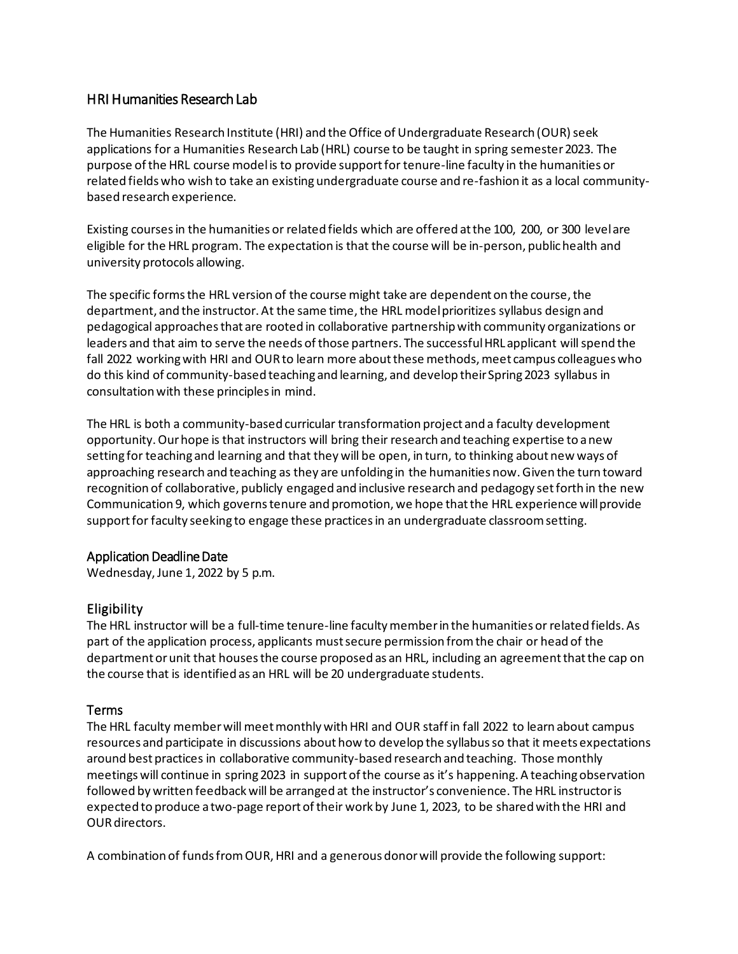# HRI Humanities Research Lab

The Humanities Research Institute (HRI) and the Office of Undergraduate Research (OUR) seek applications for a Humanities Research Lab (HRL) course to be taught in spring semester2023. The purpose of the HRL course modelis to provide support for tenure-line faculty in the humanities or related fieldswho wish to take an existing undergraduate course and re-fashion it as a local communitybased research experience.

Existing coursesin the humanities or related fields which are offered at the 100, 200, or 300 level are eligible for the HRL program. The expectation is that the course will be in-person, public health and university protocols allowing.

The specific forms the HRL version of the course might take are dependent on the course, the department, and the instructor. At the same time, the HRL modelprioritizes syllabus design and pedagogical approaches that are rooted in collaborative partnership with community organizations or leaders and that aim to serve the needs of those partners. The successfulHRL applicant willspend the fall 2022 working with HRI and OUR to learn more about these methods, meet campus colleagues who do this kind of community-based teaching and learning, and develop their Spring 2023 syllabus in consultation with these principles in mind.

The HRL is both a community-based curricular transformation project and a faculty development opportunity. Our hope is that instructors will bring their research and teaching expertise to a new setting for teaching and learning and that they will be open, in turn, to thinking about new ways of approaching research and teaching as they are unfolding in the humanities now. Given the turn toward recognition of collaborative, publicly engaged and inclusive research and pedagogy set forth in the new Communication 9, which governs tenure and promotion, we hope that the HRL experience willprovide support for faculty seeking to engage these practices in an undergraduate classroom setting.

## Application Deadline Date

Wednesday,June 1, 2022 by 5 p.m.

## Eligibility

The HRL instructor will be a full-time tenure-line faculty member in the humanities or related fields. As part of the application process, applicants must secure permission fromthe chair or head of the department orunit that houses the course proposed as an HRL, including an agreementthatthe cap on the course that is identified as an HRL will be 20 undergraduate students.

## Terms

The HRL faculty memberwill meetmonthly with HRI and OUR staff in fall 2022 to learn about campus resources and participate in discussions about how to develop the syllabusso that it meets expectations around best practices in collaborative community-based research and teaching. Those monthly meetings will continue in spring 2023 in support of the course as it's happening. A teaching observation followed by written feedback will be arranged at the instructor's convenience. The HRL instructor is expected to produce a two-page report of their work by June 1, 2023, to be shared with the HRI and OUR directors.

A combination of funds from OUR, HRI and a generous donor will provide the following support: